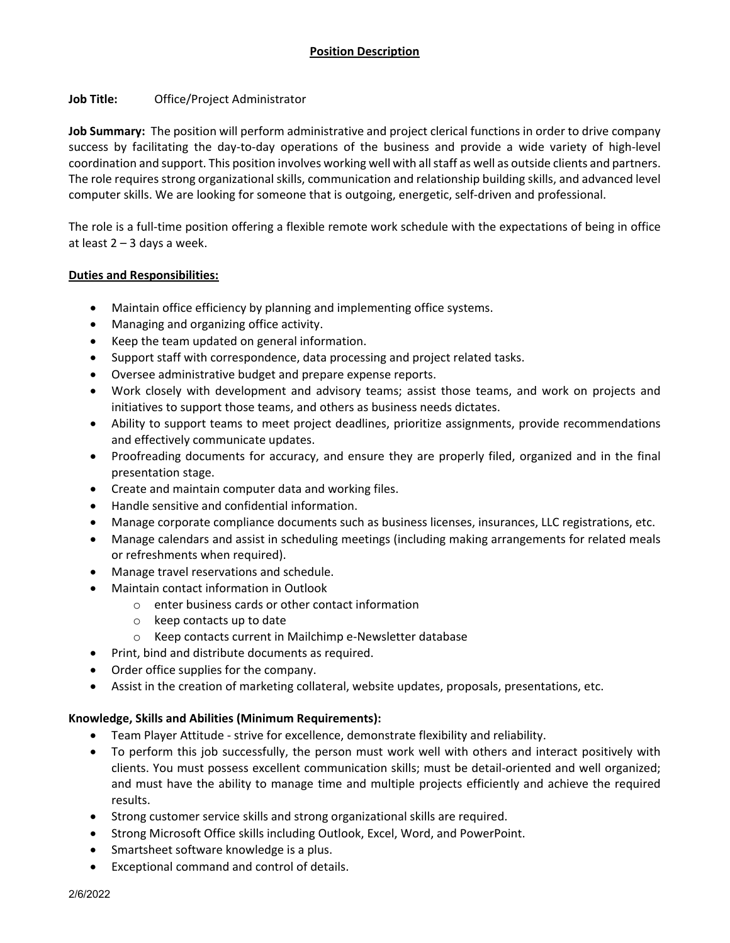# **Job Title:** Office/Project Administrator

**Job Summary:** The position will perform administrative and project clerical functions in order to drive company success by facilitating the day-to-day operations of the business and provide a wide variety of high-level coordination and support. This position involves working well with all staff as well as outside clients and partners. The role requires strong organizational skills, communication and relationship building skills, and advanced level computer skills. We are looking for someone that is outgoing, energetic, self-driven and professional.

The role is a full-time position offering a flexible remote work schedule with the expectations of being in office at least  $2 - 3$  days a week.

## **Duties and Responsibilities:**

- Maintain office efficiency by planning and implementing office systems.
- Managing and organizing office activity.
- Keep the team updated on general information.
- Support staff with correspondence, data processing and project related tasks.
- Oversee administrative budget and prepare expense reports.
- Work closely with development and advisory teams; assist those teams, and work on projects and initiatives to support those teams, and others as business needs dictates.
- Ability to support teams to meet project deadlines, prioritize assignments, provide recommendations and effectively communicate updates.
- Proofreading documents for accuracy, and ensure they are properly filed, organized and in the final presentation stage.
- Create and maintain computer data and working files.
- Handle sensitive and confidential information.
- Manage corporate compliance documents such as business licenses, insurances, LLC registrations, etc.
- Manage calendars and assist in scheduling meetings (including making arrangements for related meals or refreshments when required).
- Manage travel reservations and schedule.
- Maintain contact information in Outlook
	- o enter business cards or other contact information
	- o keep contacts up to date
	- o Keep contacts current in Mailchimp e-Newsletter database
- Print, bind and distribute documents as required.
- Order office supplies for the company.
- Assist in the creation of marketing collateral, website updates, proposals, presentations, etc.

## **Knowledge, Skills and Abilities (Minimum Requirements):**

- Team Player Attitude strive for excellence, demonstrate flexibility and reliability.
- To perform this job successfully, the person must work well with others and interact positively with clients. You must possess excellent communication skills; must be detail-oriented and well organized; and must have the ability to manage time and multiple projects efficiently and achieve the required results.
- Strong customer service skills and strong organizational skills are required.
- Strong Microsoft Office skills including Outlook, Excel, Word, and PowerPoint.
- Smartsheet software knowledge is a plus.
- Exceptional command and control of details.